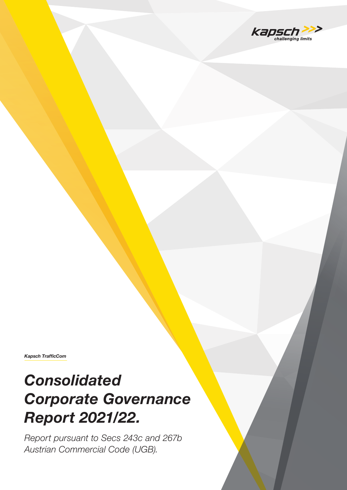

*Kapsch TrafficCom*

# *Consolidated Corporate Governance Report 2021/22.*

*Report pursuant to Secs 243c and 267b Austrian Commercial Code (UGB).*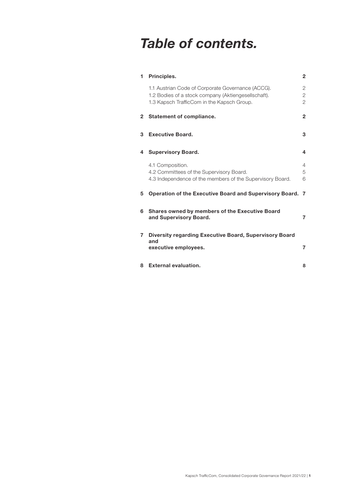## *Table of contents.*

| 1. | Principles.                                                                                                                                            |                                     |  |
|----|--------------------------------------------------------------------------------------------------------------------------------------------------------|-------------------------------------|--|
|    | 1.1 Austrian Code of Corporate Governance (ACCG).<br>1.2 Bodies of a stock company (Aktiengesellschaft).<br>1.3 Kapsch TrafficCom in the Kapsch Group. | 2<br>$\mathbf{2}$<br>$\overline{2}$ |  |
| 2  | <b>Statement of compliance.</b>                                                                                                                        | $\mathbf{2}$                        |  |
| 3  | <b>Executive Board.</b>                                                                                                                                | 3                                   |  |
| 4  | <b>Supervisory Board.</b>                                                                                                                              | 4                                   |  |
|    | 4.1 Composition.<br>4.2 Committees of the Supervisory Board.<br>4.3 Independence of the members of the Supervisory Board.                              | 4<br>5<br>6                         |  |
| 5  | <b>Operation of the Executive Board and Supervisory Board.</b>                                                                                         | 7                                   |  |
| 6  | Shares owned by members of the Executive Board<br>and Supervisory Board.                                                                               | 7                                   |  |
| 7  | Diversity regarding Executive Board, Supervisory Board<br>and                                                                                          |                                     |  |
|    | executive employees.                                                                                                                                   | 7                                   |  |
| 8  | <b>External evaluation.</b>                                                                                                                            | 8                                   |  |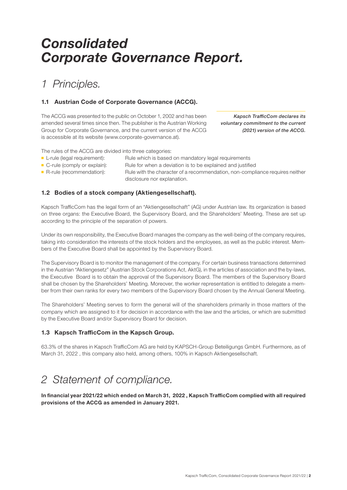## *Consolidated Corporate Governance Report.*

### *1 Principles.*

#### 1.1 Austrian Code of Corporate Governance (ACCG).

The ACCG was presented to the public on October 1, 2002 and has been amended several times since then. The publisher is the Austrian Working Group for Corporate Governance, and the current version of the ACCG is accessible at its website (www.corporate-governance.at).

*Kapsch TrafficCom declares its voluntary commitment to the current (2021) version of the ACCG.*

The rules of the ACCG are divided into three categories:

- -
- 
- L-rule (legal requirement): Rule which is based on mandatory legal requirements
- 
- C-rule (comply or explain): Rule for when a deviation is to be explained and justified ■ R-rule (recommendation): Rule with the character of a recommendation, non-compliance requires neither
	- disclosure nor explanation.

#### 1.2 Bodies of a stock company (Aktiengesellschaft).

Kapsch TrafficCom has the legal form of an "Aktiengesellschaft" (AG) under Austrian law. Its organization is based on three organs: the Executive Board, the Supervisory Board, and the Shareholders' Meeting. These are set up according to the principle of the separation of powers.

Under its own responsibility, the Executive Board manages the company as the well-being of the company requires, taking into consideration the interests of the stock holders and the employees, as well as the public interest. Members of the Executive Board shall be appointed by the Supervisory Board.

The Supervisory Board is to monitor the management of the company. For certain business transactions determined in the Austrian "Aktiengesetz" (Austrian Stock Corporations Act, AktG), in the articles of association and the by-laws, the Executive Board is to obtain the approval of the Supervisory Board. The members of the Supervisory Board shall be chosen by the Shareholders' Meeting. Moreover, the worker representation is entitled to delegate a member from their own ranks for every two members of the Supervisory Board chosen by the Annual General Meeting.

The Shareholders' Meeting serves to form the general will of the shareholders primarily in those matters of the company which are assigned to it for decision in accordance with the law and the articles, or which are submitted by the Executive Board and/or Supervisory Board for decision.

#### 1.3 Kapsch TrafficCom in the Kapsch Group.

63.3% of the shares in Kapsch TrafficCom AG are held by KAPSCH-Group Beteiligungs GmbH. Furthermore, as of March 31, 2022 , this company also held, among others, 100% in Kapsch Aktiengesellschaft.

### *2 Statement of compliance.*

In financial year 2021/22 which ended on March 31, 2022 , Kapsch TrafficCom complied with all required provisions of the ACCG as amended in January 2021.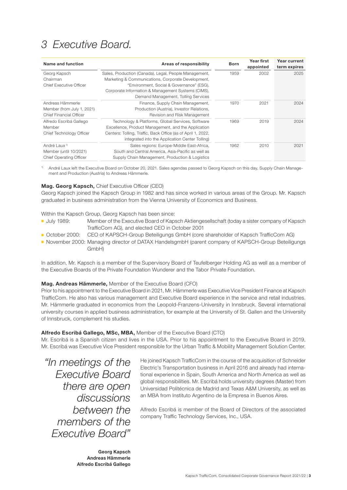### *3 Executive Board.*

| Name and function                                                                    | Areas of responsibility                                                                                                                                                                                                                               | <b>Born</b> | Year first<br>appointed | Year current<br>term expires |
|--------------------------------------------------------------------------------------|-------------------------------------------------------------------------------------------------------------------------------------------------------------------------------------------------------------------------------------------------------|-------------|-------------------------|------------------------------|
| Georg Kapsch<br>Chairman<br><b>Chief Executive Officer</b>                           | Sales, Production (Canada), Legal, People Management,<br>Marketing & Communications, Corporate Development,<br>"Environment, Social & Governance" (ESG),<br>Corporate Information & Management Systems (CIMS),<br>Demand Management, Tolling Services | 1959        | 2002                    | 2025                         |
| Andreas Hämmerle<br>Member (from July 1, 2021)<br><b>Chief Financial Officer</b>     | Finance, Supply Chain Management,<br>Production (Austria), Investor Relations,<br>Revision and Risk Management                                                                                                                                        | 1970        | 2021                    | 2024                         |
| Alfredo Escribá Gallego<br>Member<br>Chief Technology Officer                        | Technology & Platforms, Global Services, Software<br>Excellence, Product Management, and the Application<br>Centers: Tolling, Traffic, Back Office (as of April 1, 2022,<br>integrated into the Application Center Tolling)                           | 1969        | 2019                    | 2024                         |
| André Laux <sup>1)</sup><br>Member (until 10/2021)<br><b>Chief Operating Officer</b> | Sales regions: Europe-Middle East-Africa,<br>South and Central America, Asia-Pacific as well as<br>Supply Chain Management, Production & Logistics                                                                                                    | 1962        | 2010                    | 2021                         |

1) André Laux left the Executive Board on October 20, 2021. Sales agendas passed to Georg Kapsch on this day, Supply Chain Management and Production (Austria) to Andreas Hämmerle.

#### Mag. Georg Kapsch, Chief Executive Officer (CEO)

Georg Kapsch joined the Kapsch Group in 1982 and has since worked in various areas of the Group. Mr. Kapsch graduated in business administration from the Vienna University of Economics and Business.

Within the Kapsch Group, Georg Kapsch has been since:

- July 1989: Member of the Executive Board of Kapsch Aktiengesellschaft (today a sister company of Kapsch TrafficCom AG), and elected CEO in October 2001
- October 2000: CEO of KAPSCH-Group Beteiligungs GmbH (core shareholder of Kapsch TrafficCom AG)
- November 2000: Managing director of DATAX HandelsgmbH (parent company of KAPSCH-Group Beteiligungs GmbH)

In addition, Mr. Kapsch is a member of the Supervisory Board of Teufelberger Holding AG as well as a member of the Executive Boards of the Private Foundation Wunderer and the Tabor Private Foundation.

#### Mag. Andreas Hämmerle, Member of the Executive Board (CFO)

Prior to his appointment to the Executive Board in 2021, Mr. Hämmerle was Executive Vice President Finance at Kapsch TrafficCom. He also has various management and Executive Board experience in the service and retail industries. Mr. Hämmerle graduated in economics from the Leopold-Franzens-University in Innsbruck. Several international university courses in applied business administration, for example at the University of St. Gallen and the University of Innsbruck, complement his studies.

#### Alfredo Escribá Gallego, MSc, MBA, Member of the Executive Board (CTO)

Mr. Escribá is a Spanish citizen and lives in the USA. Prior to his appointment to the Executive Board in 2019, Mr. Escribá was Executive Vice President responsible for the Urban Traffic & Mobility Management Solution Center.

*"In meetings of the Executive Board there are open discussions between the members of the Executive Board"*

He joined Kapsch TrafficCom in the course of the acquisition of Schneider Electric's Transportation business in April 2016 and already had international experience in Spain, South America and North America as well as global responsibilities. Mr. Escribá holds university degrees (Master) from Universidad Politécnica de Madrid and Texas A&M University, as well as an MBA from Instituto Argentino de la Empresa in Buenos Aires.

Alfredo Escribá is member of the Board of Directors of the associated company Traffic Technology Services, Inc., USA.

Georg Kapsch Andreas Hämmerle Alfredo Escribá Gallego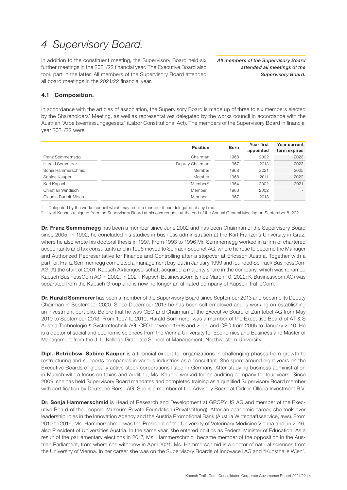### *4 Supervisory Board.*

In addition to the constituent meeting, the Supervisory Board held six further meetings in the 2021/22 financial year. The Executive Board also took part in the latter. All members of the Supervisory Board attended all board meetings in the 2021/22 financial year.

*All members of the Supervisory Board attended all meetings of the Supervisory Board.*

#### 4.1 Composition.

In accordance with the articles of association, the Supervisory Board is made up of three to six members elected by the Shareholders' Meeting, as well as representatives delegated by the works council in accordance with the Austrian "Arbeitsverfassungsgesetz" (Labor Constitutional Act). The members of the Supervisory Board in financial year 2021/22 were:

|                        | <b>Position</b>      | <b>Born</b> | Year first<br>appointed | Year current<br>term expires |
|------------------------|----------------------|-------------|-------------------------|------------------------------|
| Franz Semmernegg       | Chairman             | 1968        | 2002                    | 2023                         |
| <b>Harald Sommerer</b> | Deputy Chairman      | 1967        | 2013                    | 2023                         |
| Sonja Hammerschmid     | Member               | 1968        | 2021                    | 2025                         |
| Sabine Kauper          | Member               | 1968        | 2011                    | 2022                         |
| Kari Kapsch            | Member <sup>2)</sup> | 1964        | 2002                    | 2021                         |
| Christian Windisch     | Member <sup>1)</sup> | 1963        | 2002                    |                              |
| Claudia Rudolf-Misch   | Member <sup>1)</sup> | 1967        | 2018                    |                              |

Delegated by the works council which may recall a member it has delegated at any time.

2) Kari Kapsch resigned from the Supervisory Board at his own request at the end of the Annual General Meeting on September 8, 2021.

Dr. Franz Semmernegg has been a member since June 2002 and has been Chairman of the Supervisory Board since 2005. In 1992, he concluded his studies in business administration at the Karl-Franzens University in Graz, where he also wrote his doctoral thesis in 1997. From 1993 to 1996 Mr. Semmernegg worked in a firm of chartered accountants and tax consultants and in 1996 moved to Schrack Seconet AG, where he rose to become the Manager and Authorized Representative for Finance and Controlling after a stopover at Ericsson Austria. Together with a partner, Franz Semmernegg completed a management buy-out in January 1999 and founded Schrack BusinessCom AG. At the start of 2001, Kapsch Aktiengesellschaft acquired a majority share in the company, which was renamed Kapsch BusinessCom AG in 2002. In 2021, Kapsch BusinessCom (since March 10, 2022: K-Businesscom AG) was separated from the Kapsch Group and is now no longer an affiliated company of Kapsch TrafficCom.

Dr. Harald Sommerer has been a member of the Supervisory Board since September 2013 and became its Deputy Chairman in September 2020. Since December 2013 he has been self-employed and is working on establishing an investment portfolio. Before that he was CEO and Chairman of the Executive Board of Zumtobel AG from May 2010 to September 2013. From 1997 to 2010, Harald Sommerer was a member of the Executive Board of AT & S Austria Technologie & Systemtechnik AG, CFO between 1998 and 2005 and CEO from 2005 to January 2010. He is a doctor of social and economic sciences from the Vienna University for Economics and Business and Master of Management from the J. L. Kellogg Graduate School of Management, Northwestern University.

**Dipl.-Betriebsw. Sabine Kauper** is a financial expert for organizations in challenging phases from growth to restructuring and supports companies in various industries as a consultant. She spent around eight years on the Executive Boards of globally active stock corporations listed in Germany. After studying business administration in Munich with a focus on taxes and auditing, Ms. Kauper worked for an auditing company for four years. Since 2009, she has held Supervisory Board mandates and completed training as a qualified Supervisory Board member with certification by Deutsche Börse AG. She is a member of the Advisory Board at Cidron Ollopa Investment B.V.

Dr. Sonja Hammerschmid is Head of Research and Development at GROPYUS AG and member of the Executive Board of the Leopold Museum Private Foundation (Privatstiftung). After an academic career, she took over leadership roles in the Innovation Agency and the Austria Promotional Bank (Austria Wirtschaftsservice, aws). From 2010 to 2016, Ms. Hammerschmid was the President of the University of Veterinary Medicine Vienna and, in 2016, also President of Universities Austria. In the same year, she entered politics as Federal Minister of Education. As a result of the parliamentary elections in 2017, Ms. Hammerschmid became member of the opposition in the Austrian Parliament, from where she withdrew in April 2021. Ms. Hammerschmid is a doctor of natural sciences from the University of Vienna. In her career she was on the Supervisory Boards of Innovacell AG and "Kunsthalle Wien".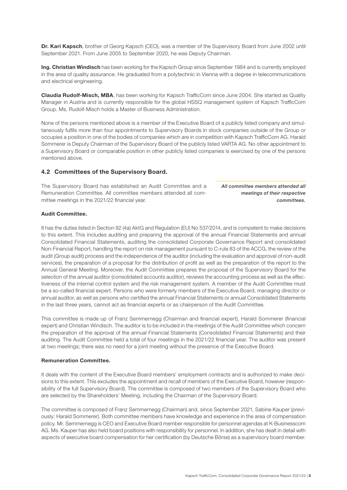Dr. Kari Kapsch, brother of Georg Kapsch (CEO), was a member of the Supervisory Board from June 2002 until September 2021. From June 2005 to September 2020, he was Deputy Chairman.

Ing. Christian Windisch has been working for the Kapsch Group since September 1984 and is currently employed in the area of quality assurance. He graduated from a polytechnic in Vienna with a degree in telecommunications and electrical engineering.

Claudia Rudolf-Misch, MBA, has been working for Kapsch TrafficCom since June 2004. She started as Quality Manager in Austria and is currently responsible for the global HSSQ management system of Kapsch TrafficCom Group. Ms. Rudolf-Misch holds a Master of Business Administration.

None of the persons mentioned above is a member of the Executive Board of a publicly listed company and simultaneously fulfils more than four appointments to Supervisory Boards in stock companies outside of the Group or occupies a position in one of the bodies of companies which are in competition with Kapsch TrafficCom AG. Harald Sommerer is Deputy Chairman of the Supervisory Board of the publicly listed VARTA AG. No other appointment to a Supervisory Board or comparable position in other publicly listed companies is exercised by one of the persons mentioned above.

#### 4.2 Committees of the Supervisory Board.

The Supervisory Board has established an Audit Committee and a Remuneration Committee. All committee members attended all committee meetings in the 2021/22 financial year.

*All committee members attended all meetings of their respective committees.*

#### Audit Committee.

It has the duties listed in Section 92 (4a) AktG and Regulation (EU) No 537/2014, and is competent to make decisions to this extent. This includes auditing and preparing the approval of the annual Financial Statements and annual Consolidated Financial Statements, auditing the consolidated Corporate Governance Report and consolidated Non-Financial Report, handling the report on risk management pursuant to C-rule 83 of the ACCG, the review of the audit (Group audit) process and the independence of the auditor (including the evaluation and approval of non-audit services), the preparation of a proposal for the distribution of profit as well as the preparation of the report to the Annual General Meeting. Moreover, the Audit Committee prepares the proposal of the Supervisory Board for the selection of the annual auditor (consolidated accounts auditor), reviews the accounting process as well as the effectiveness of the internal control system and the risk management system. A member of the Audit Committee must be a so-called financial expert. Persons who were formerly members of the Executive Board, managing director or annual auditor, as well as persons who certified the annual Financial Statements or annual Consolidated Statements in the last three years, cannot act as financial experts or as chairperson of the Audit Committee.

This committee is made up of Franz Semmernegg (Chairman and financial expert), Harald Sommerer (financial expert) and Christian Windisch. The auditor is to be included in the meetings of the Audit Committee which concern the preparation of the approval of the annual Financial Statements (Consolidated Financial Statements) and their auditing. The Audit Committee held a total of four meetings in the 2021/22 financial year. The auditor was present at two meetings; there was no need for a joint meeting without the presence of the Executive Board.

#### Remuneration Committee.

It deals with the content of the Executive Board members' employment contracts and is authorized to make decisions to this extent. This excludes the appointment and recall of members of the Executive Board, however (responsibility of the full Supervisory Board). The committee is composed of two members of the Supervisory Board who are selected by the Shareholders' Meeting, including the Chairman of the Supervisory Board.

The committee is composed of Franz Semmernegg (Chairman) and, since September 2021, Sabine Kauper (previously: Harald Sommerer). Both committee members have knowledge and experience in the area of compensation policy. Mr. Semmernegg is CEO and Executive Board member responsible for personnel agendas at K-Businesscom AG. Ms. Kauper has also held board positions with responsibility for personnel. In addition, she has dealt in detail with aspects of executive board compensation for her certification (by Deutsche Börse) as a supervisory board member.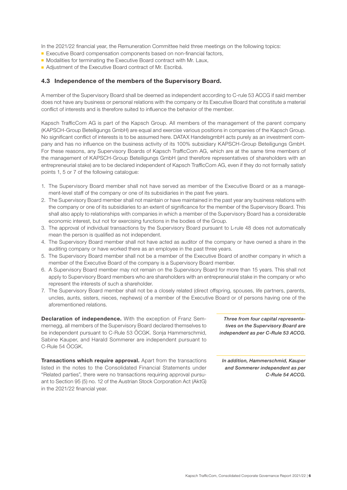In the 2021/22 financial year, the Remuneration Committee held three meetings on the following topics:

- Executive Board compensation components based on non-financial factors,
- Modalities for terminating the Executive Board contract with Mr. Laux,
- Adjustment of the Executive Board contract of Mr. Escribá.

#### 4.3 Independence of the members of the Supervisory Board.

A member of the Supervisory Board shall be deemed as independent according to C-rule 53 ACCG if said member does not have any business or personal relations with the company or its Executive Board that constitute a material conflict of interests and is therefore suited to influence the behavior of the member.

Kapsch TrafficCom AG is part of the Kapsch Group. All members of the management of the parent company (KAPSCH-Group Beteiligungs GmbH) are equal and exercise various positions in companies of the Kapsch Group. No significant conflict of interests is to be assumed here. DATAX HandelsgmbH acts purely as an investment company and has no influence on the business activity of its 100% subsidiary KAPSCH-Group Beteiligungs GmbH. For these reasons, any Supervisory Boards of Kapsch TrafficCom AG, which are at the same time members of the management of KAPSCH-Group Beteiligungs GmbH (and therefore representatives of shareholders with an entrepreneurial stake) are to be declared independent of Kapsch TrafficCom AG, even if they do not formally satisfy points 1, 5 or 7 of the following catalogue:

- 1. The Supervisory Board member shall not have served as member of the Executive Board or as a management-level staff of the company or one of its subsidiaries in the past five years.
- 2. The Supervisory Board member shall not maintain or have maintained in the past year any business relations with the company or one of its subsidiaries to an extent of significance for the member of the Supervisory Board. This shall also apply to relationships with companies in which a member of the Supervisory Board has a considerable economic interest, but not for exercising functions in the bodies of the Group.
- 3. The approval of individual transactions by the Supervisory Board pursuant to L-rule 48 does not automatically mean the person is qualified as not independent.
- 4. The Supervisory Board member shall not have acted as auditor of the company or have owned a share in the auditing company or have worked there as an employee in the past three years.
- 5. The Supervisory Board member shall not be a member of the Executive Board of another company in which a member of the Executive Board of the company is a Supervisory Board member.
- 6. A Supervisory Board member may not remain on the Supervisory Board for more than 15 years. This shall not apply to Supervisory Board members who are shareholders with an entrepreneurial stake in the company or who represent the interests of such a shareholder.
- 7. The Supervisory Board member shall not be a closely related (direct offspring, spouses, life partners, parents, uncles, aunts, sisters, nieces, nephews) of a member of the Executive Board or of persons having one of the aforementioned relations.

Declaration of independence. With the exception of Franz Semmernegg, all members of the Supervisory Board declared themselves to be independent pursuant to C-Rule 53 ÖCGK. Sonja Hammerschmid, Sabine Kauper, and Harald Sommerer are independent pursuant to C-Rule 54 ÖCGK.

Transactions which require approval. Apart from the transactions listed in the notes to the Consolidated Financial Statements under "Related parties", there were no transactions requiring approval pursuant to Section 95 (5) no. 12 of the Austrian Stock Corporation Act (AktG) in the 2021/22 financial year.

*Three from four capital representatives on the Supervisory Board are independent as per C-Rule 53 ACCG.*

*In addition, Hammerschmid, Kauper and Sommerer independent as per C-Rule 54 ACCG.*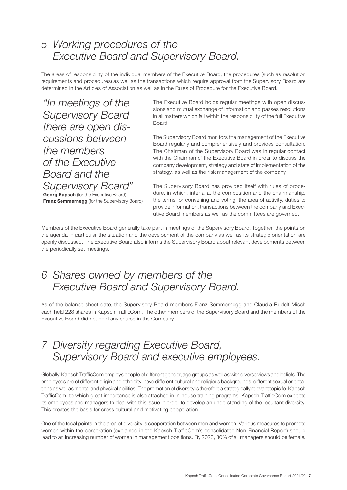### *5 Working procedures of the Executive Board and Supervisory Board.*

The areas of responsibility of the individual members of the Executive Board, the procedures (such as resolution requirements and procedures) as well as the transactions which require approval from the Supervisory Board are determined in the Articles of Association as well as in the Rules of Procedure for the Executive Board.

*"In meetings of the Supervisory Board there are open discussions between the members of the Executive Board and the Supervisory Board"* 

**Georg Kapsch** (tor the Executive Board) **Franz Semmernegg** (for the Supervisory Board) The Executive Board holds regular meetings with open discussions and mutual exchange of information and passes resolutions in all matters which fall within the responsibility of the full Executive Board.

The Supervisory Board monitors the management of the Executive Board regularly and comprehensively and provides consultation. The Chairman of the Supervisory Board was in regular contact with the Chairman of the Executive Board in order to discuss the company development, strategy and state of implementation of the strategy, as well as the risk management of the company.

The Supervisory Board has provided itself with rules of procedure, in which, inter alia, the composition and the chairmanship, the terms for convening and voting, the area of activity, duties to provide information, transactions between the company and Executive Board members as well as the committees are governed.

Members of the Executive Board generally take part in meetings of the Supervisory Board. Together, the points on the agenda in particular the situation and the development of the company as well as its strategic orientation are openly discussed. The Executive Board also informs the Supervisory Board about relevant developments between the periodically set meetings.

### *6 Shares owned by members of the Executive Board and Supervisory Board.*

As of the balance sheet date, the Supervisory Board members Franz Semmernegg and Claudia Rudolf-Misch each held 228 shares in Kapsch TrafficCom. The other members of the Supervisory Board and the members of the Executive Board did not hold any shares in the Company.

### *7 Diversity regarding Executive Board, Supervisory Board and executive employees.*

Globally, Kapsch TrafficCom employs people of different gender, age groups as well as with diverse views and beliefs. The employees are of different origin and ethnicity, have different cultural and religious backgrounds, different sexual orientations as well as mental and physical abilities. The promotion of diversity is therefore a strategically relevant topic for Kapsch TrafficCom, to which great importance is also attached in in-house training programs. Kapsch TrafficCom expects its employees and managers to deal with this issue in order to develop an understanding of the resultant diversity. This creates the basis for cross cultural and motivating cooperation.

One of the focal points in the area of diversity is cooperation between men and women. Various measures to promote women within the corporation (explained in the Kapsch TrafficCom's consolidated Non-Financial Report) should lead to an increasing number of women in management positions. By 2023, 30% of all managers should be female.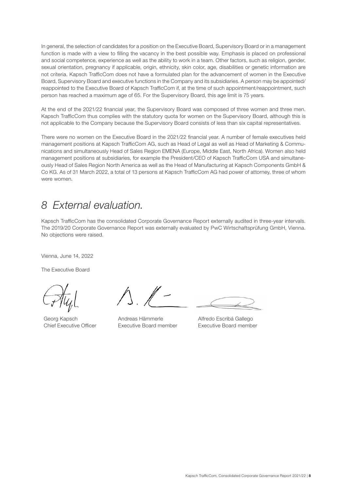In general, the selection of candidates for a position on the Executive Board, Supervisory Board or in a management function is made with a view to filling the vacancy in the best possible way. Emphasis is placed on professional and social competence, experience as well as the ability to work in a team. Other factors, such as religion, gender, sexual orientation, pregnancy if applicable, origin, ethnicity, skin color, age, disabilities or genetic information are not criteria. Kapsch TrafficCom does not have a formulated plan for the advancement of women in the Executive Board, Supervisory Board and executive functions in the Company and its subsidiaries. A person may be appointed/ reappointed to the Executive Board of Kapsch TrafficCom if, at the time of such appointment/reappointment, such person has reached a maximum age of 65. For the Supervisory Board, this age limit is 75 years.

At the end of the 2021/22 financial year, the Supervisory Board was composed of three women and three men. Kapsch TrafficCom thus complies with the statutory quota for women on the Supervisory Board, although this is not applicable to the Company because the Supervisory Board consists of less than six capital representatives.

There were no women on the Executive Board in the 2021/22 financial year. A number of female executives held management positions at Kapsch TrafficCom AG, such as Head of Legal as well as Head of Marketing & Communications and simultaneously Head of Sales Region EMENA (Europe, Middle East, North Africa). Women also held management positions at subsidiaries, for example the President/CEO of Kapsch TrafficCom USA and simultaneously Head of Sales Region North America as well as the Head of Manufacturing at Kapsch Components GmbH & Co KG. As of 31 March 2022, a total of 13 persons at Kapsch TrafficCom AG had power of attorney, three of whom were women.

### *8 External evaluation.*

Kapsch TrafficCom has the consolidated Corporate Governance Report externally audited in three-year intervals. The 2019/20 Corporate Governance Report was externally evaluated by PwC Wirtschaftsprüfung GmbH, Vienna. No objections were raised.

Vienna, June 14, 2022

The Executive Board

Georg Kapsch Chief Executive Officer

Andreas Hämmerle Executive Board member

Alfredo Escribá Gallego Executive Board member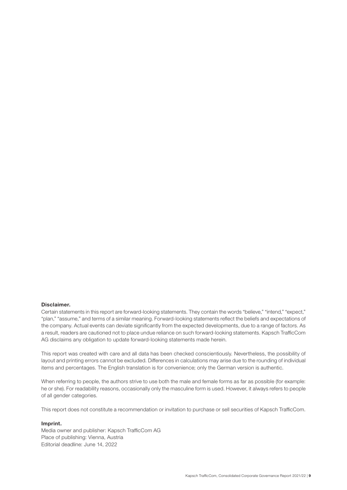#### Disclaimer.

Certain statements in this report are forward-looking statements. They contain the words "believe," "intend," "expect," "plan," "assume," and terms of a similar meaning. Forward-looking statements reflect the beliefs and expectations of the company. Actual events can deviate significantly from the expected developments, due to a range of factors. As a result, readers are cautioned not to place undue reliance on such forward-looking statements. Kapsch TrafficCom AG disclaims any obligation to update forward-looking statements made herein.

This report was created with care and all data has been checked conscientiously. Nevertheless, the possibility of layout and printing errors cannot be excluded. Differences in calculations may arise due to the rounding of individual items and percentages. The English translation is for convenience; only the German version is authentic.

When referring to people, the authors strive to use both the male and female forms as far as possible (for example: he or she). For readability reasons, occasionally only the masculine form is used. However, it always refers to people of all gender categories.

This report does not constitute a recommendation or invitation to purchase or sell securities of Kapsch TrafficCom.

#### Imprint.

Media owner and publisher: Kapsch TrafficCom AG Place of publishing: Vienna, Austria Editorial deadline: June 14, 2022